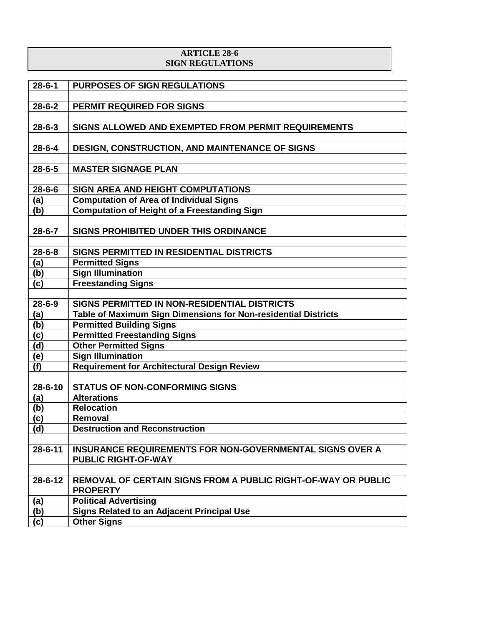## **ARTICLE 28-6 SIGN REGULATIONS**

| $28 - 6 - 1$  | <b>PURPOSES OF SIGN REGULATIONS</b>                                                     |
|---------------|-----------------------------------------------------------------------------------------|
|               |                                                                                         |
| $28 - 6 - 2$  | <b>PERMIT REQUIRED FOR SIGNS</b>                                                        |
|               |                                                                                         |
| $28 - 6 - 3$  | SIGNS ALLOWED AND EXEMPTED FROM PERMIT REQUIREMENTS                                     |
|               |                                                                                         |
| $28 - 6 - 4$  | <b>DESIGN, CONSTRUCTION, AND MAINTENANCE OF SIGNS</b>                                   |
|               |                                                                                         |
| $28 - 6 - 5$  | <b>MASTER SIGNAGE PLAN</b>                                                              |
|               |                                                                                         |
| $28 - 6 - 6$  | <b>SIGN AREA AND HEIGHT COMPUTATIONS</b>                                                |
| (a)           | <b>Computation of Area of Individual Signs</b>                                          |
| (b)           | <b>Computation of Height of a Freestanding Sign</b>                                     |
|               |                                                                                         |
| $28 - 6 - 7$  | SIGNS PROHIBITED UNDER THIS ORDINANCE                                                   |
|               |                                                                                         |
| $28 - 6 - 8$  | SIGNS PERMITTED IN RESIDENTIAL DISTRICTS                                                |
| (a)           | <b>Permitted Signs</b>                                                                  |
| (b)           | <b>Sign Illumination</b>                                                                |
| (c)           | <b>Freestanding Signs</b>                                                               |
|               |                                                                                         |
| $28 - 6 - 9$  | SIGNS PERMITTED IN NON-RESIDENTIAL DISTRICTS                                            |
| (a)           | Table of Maximum Sign Dimensions for Non-residential Districts                          |
| (b)           | <b>Permitted Building Signs</b>                                                         |
| (c)           | <b>Permitted Freestanding Signs</b>                                                     |
| (d)           | <b>Other Permitted Signs</b>                                                            |
| (e)           | <b>Sign Illumination</b>                                                                |
| (f)           | <b>Requirement for Architectural Design Review</b>                                      |
|               |                                                                                         |
| $28 - 6 - 10$ | <b>STATUS OF NON-CONFORMING SIGNS</b>                                                   |
| (a)           | <b>Alterations</b>                                                                      |
| (b)           | <b>Relocation</b>                                                                       |
| (c)           | Removal                                                                                 |
| (d)           | <b>Destruction and Reconstruction</b>                                                   |
|               |                                                                                         |
| $28 - 6 - 11$ | <b>INSURANCE REQUIREMENTS FOR NON-GOVERNMENTAL SIGNS OVER A</b>                         |
|               | <b>PUBLIC RIGHT-OF-WAY</b>                                                              |
|               |                                                                                         |
| $28 - 6 - 12$ | <b>REMOVAL OF CERTAIN SIGNS FROM A PUBLIC RIGHT-OF-WAY OR PUBLIC</b><br><b>PROPERTY</b> |
|               |                                                                                         |
| (a)           | <b>Political Advertising</b><br><b>Signs Related to an Adjacent Principal Use</b>       |
| (b)           |                                                                                         |
| (c)           | <b>Other Signs</b>                                                                      |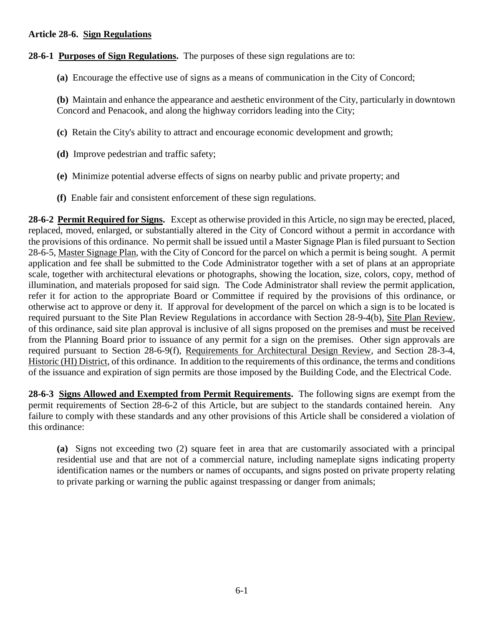### **Article 28-6. Sign Regulations**

# **28-6-1 Purposes of Sign Regulations.** The purposes of these sign regulations are to:

**(a)** Encourage the effective use of signs as a means of communication in the City of Concord;

**(b)** Maintain and enhance the appearance and aesthetic environment of the City, particularly in downtown Concord and Penacook, and along the highway corridors leading into the City;

- **(c)** Retain the City's ability to attract and encourage economic development and growth;
- **(d)** Improve pedestrian and traffic safety;
- **(e)** Minimize potential adverse effects of signs on nearby public and private property; and
- **(f)** Enable fair and consistent enforcement of these sign regulations.

**28-6-2 Permit Required for Signs.** Except as otherwise provided in this Article, no sign may be erected, placed, replaced, moved, enlarged, or substantially altered in the City of Concord without a permit in accordance with the provisions of this ordinance. No permit shall be issued until a Master Signage Plan is filed pursuant to Section 28-6-5, Master Signage Plan, with the City of Concord for the parcel on which a permit is being sought. A permit application and fee shall be submitted to the Code Administrator together with a set of plans at an appropriate scale, together with architectural elevations or photographs, showing the location, size, colors, copy, method of illumination, and materials proposed for said sign. The Code Administrator shall review the permit application, refer it for action to the appropriate Board or Committee if required by the provisions of this ordinance, or otherwise act to approve or deny it. If approval for development of the parcel on which a sign is to be located is required pursuant to the Site Plan Review Regulations in accordance with Section 28-9-4(b), Site Plan Review, of this ordinance, said site plan approval is inclusive of all signs proposed on the premises and must be received from the Planning Board prior to issuance of any permit for a sign on the premises. Other sign approvals are required pursuant to Section 28-6-9(f), Requirements for Architectural Design Review, and Section 28-3-4, Historic (HI) District, of this ordinance. In addition to the requirements of this ordinance, the terms and conditions of the issuance and expiration of sign permits are those imposed by the Building Code, and the Electrical Code.

**28-6-3 Signs Allowed and Exempted from Permit Requirements.** The following signs are exempt from the permit requirements of Section 28-6-2 of this Article, but are subject to the standards contained herein. Any failure to comply with these standards and any other provisions of this Article shall be considered a violation of this ordinance:

**(a)** Signs not exceeding two (2) square feet in area that are customarily associated with a principal residential use and that are not of a commercial nature, including nameplate signs indicating property identification names or the numbers or names of occupants, and signs posted on private property relating to private parking or warning the public against trespassing or danger from animals;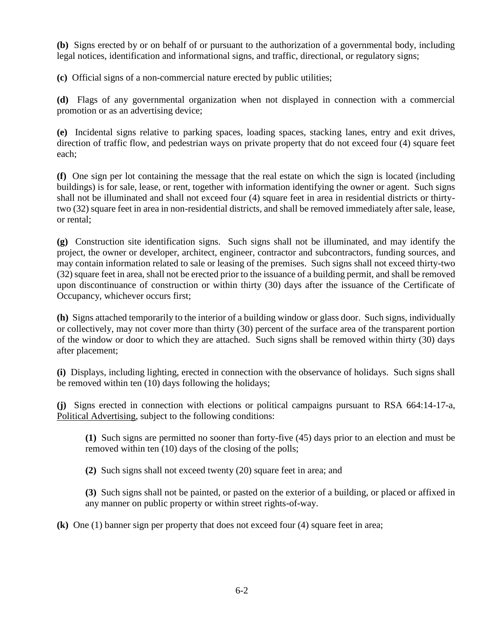**(b)** Signs erected by or on behalf of or pursuant to the authorization of a governmental body, including legal notices, identification and informational signs, and traffic, directional, or regulatory signs;

**(c)** Official signs of a non-commercial nature erected by public utilities;

**(d)** Flags of any governmental organization when not displayed in connection with a commercial promotion or as an advertising device;

**(e)** Incidental signs relative to parking spaces, loading spaces, stacking lanes, entry and exit drives, direction of traffic flow, and pedestrian ways on private property that do not exceed four (4) square feet each;

**(f)** One sign per lot containing the message that the real estate on which the sign is located (including buildings) is for sale, lease, or rent, together with information identifying the owner or agent. Such signs shall not be illuminated and shall not exceed four (4) square feet in area in residential districts or thirtytwo (32) square feet in area in non-residential districts, and shall be removed immediately after sale, lease, or rental;

**(g)** Construction site identification signs. Such signs shall not be illuminated, and may identify the project, the owner or developer, architect, engineer, contractor and subcontractors, funding sources, and may contain information related to sale or leasing of the premises. Such signs shall not exceed thirty-two (32) square feet in area, shall not be erected prior to the issuance of a building permit, and shall be removed upon discontinuance of construction or within thirty (30) days after the issuance of the Certificate of Occupancy, whichever occurs first;

**(h)** Signs attached temporarily to the interior of a building window or glass door. Such signs, individually or collectively, may not cover more than thirty (30) percent of the surface area of the transparent portion of the window or door to which they are attached. Such signs shall be removed within thirty (30) days after placement;

**(i)** Displays, including lighting, erected in connection with the observance of holidays. Such signs shall be removed within ten (10) days following the holidays;

**(j)** Signs erected in connection with elections or political campaigns pursuant to RSA 664:14-17-a, Political Advertising, subject to the following conditions:

**(1)** Such signs are permitted no sooner than forty-five (45) days prior to an election and must be removed within ten (10) days of the closing of the polls;

**(2)** Such signs shall not exceed twenty (20) square feet in area; and

**(3)** Such signs shall not be painted, or pasted on the exterior of a building, or placed or affixed in any manner on public property or within street rights-of-way.

**(k)** One (1) banner sign per property that does not exceed four (4) square feet in area;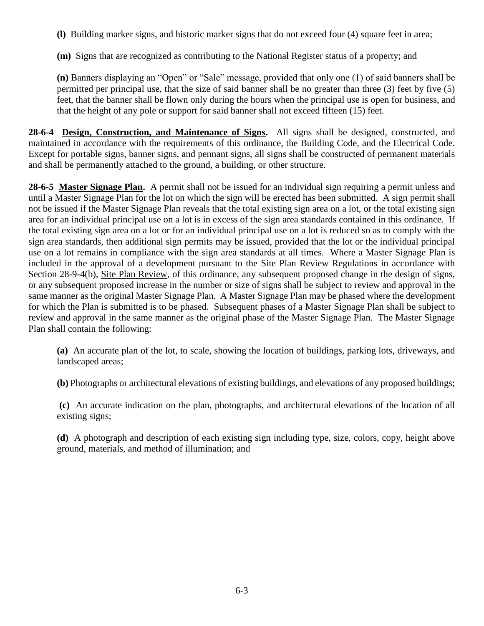**(l)** Building marker signs, and historic marker signs that do not exceed four (4) square feet in area;

**(m)** Signs that are recognized as contributing to the National Register status of a property; and

**(n)** Banners displaying an "Open" or "Sale" message, provided that only one (1) of said banners shall be permitted per principal use, that the size of said banner shall be no greater than three (3) feet by five (5) feet, that the banner shall be flown only during the hours when the principal use is open for business, and that the height of any pole or support for said banner shall not exceed fifteen (15) feet.

**28-6-4 Design, Construction, and Maintenance of Signs.** All signs shall be designed, constructed, and maintained in accordance with the requirements of this ordinance, the Building Code, and the Electrical Code. Except for portable signs, banner signs, and pennant signs, all signs shall be constructed of permanent materials and shall be permanently attached to the ground, a building, or other structure.

**28-6-5 Master Signage Plan.** A permit shall not be issued for an individual sign requiring a permit unless and until a Master Signage Plan for the lot on which the sign will be erected has been submitted. A sign permit shall not be issued if the Master Signage Plan reveals that the total existing sign area on a lot, or the total existing sign area for an individual principal use on a lot is in excess of the sign area standards contained in this ordinance. If the total existing sign area on a lot or for an individual principal use on a lot is reduced so as to comply with the sign area standards, then additional sign permits may be issued, provided that the lot or the individual principal use on a lot remains in compliance with the sign area standards at all times. Where a Master Signage Plan is included in the approval of a development pursuant to the Site Plan Review Regulations in accordance with Section 28-9-4(b), Site Plan Review, of this ordinance, any subsequent proposed change in the design of signs, or any subsequent proposed increase in the number or size of signs shall be subject to review and approval in the same manner as the original Master Signage Plan. A Master Signage Plan may be phased where the development for which the Plan is submitted is to be phased. Subsequent phases of a Master Signage Plan shall be subject to review and approval in the same manner as the original phase of the Master Signage Plan. The Master Signage Plan shall contain the following:

**(a)** An accurate plan of the lot, to scale, showing the location of buildings, parking lots, driveways, and landscaped areas;

**(b)** Photographs or architectural elevations of existing buildings, and elevations of any proposed buildings;

**(c)** An accurate indication on the plan, photographs, and architectural elevations of the location of all existing signs;

**(d)** A photograph and description of each existing sign including type, size, colors, copy, height above ground, materials, and method of illumination; and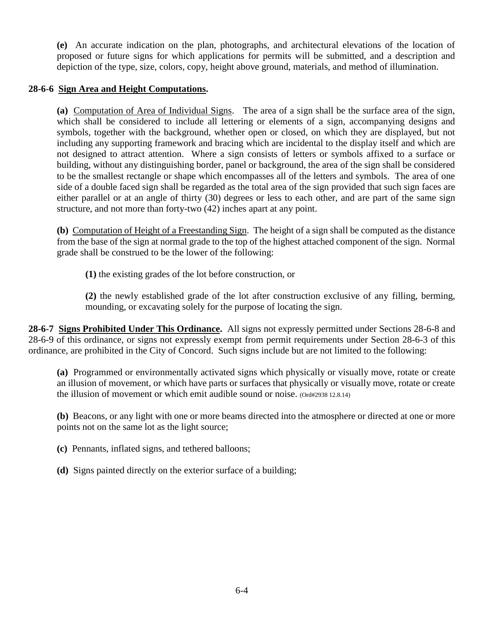**(e)** An accurate indication on the plan, photographs, and architectural elevations of the location of proposed or future signs for which applications for permits will be submitted, and a description and depiction of the type, size, colors, copy, height above ground, materials, and method of illumination.

## **28-6-6 Sign Area and Height Computations.**

**(a)** Computation of Area of Individual Signs. The area of a sign shall be the surface area of the sign, which shall be considered to include all lettering or elements of a sign, accompanying designs and symbols, together with the background, whether open or closed, on which they are displayed, but not including any supporting framework and bracing which are incidental to the display itself and which are not designed to attract attention. Where a sign consists of letters or symbols affixed to a surface or building, without any distinguishing border, panel or background, the area of the sign shall be considered to be the smallest rectangle or shape which encompasses all of the letters and symbols. The area of one side of a double faced sign shall be regarded as the total area of the sign provided that such sign faces are either parallel or at an angle of thirty (30) degrees or less to each other, and are part of the same sign structure, and not more than forty-two (42) inches apart at any point.

**(b)** Computation of Height of a Freestanding Sign. The height of a sign shall be computed as the distance from the base of the sign at normal grade to the top of the highest attached component of the sign. Normal grade shall be construed to be the lower of the following:

**(1)** the existing grades of the lot before construction, or

**(2)** the newly established grade of the lot after construction exclusive of any filling, berming, mounding, or excavating solely for the purpose of locating the sign.

**28-6-7 Signs Prohibited Under This Ordinance.** All signs not expressly permitted under Sections 28-6-8 and 28-6-9 of this ordinance, or signs not expressly exempt from permit requirements under Section 28-6-3 of this ordinance, are prohibited in the City of Concord. Such signs include but are not limited to the following:

**(a)** Programmed or environmentally activated signs which physically or visually move, rotate or create an illusion of movement, or which have parts or surfaces that physically or visually move, rotate or create the illusion of movement or which emit audible sound or noise. (Ord#2938 12.8.14)

**(b)** Beacons, or any light with one or more beams directed into the atmosphere or directed at one or more points not on the same lot as the light source;

**(c)** Pennants, inflated signs, and tethered balloons;

**(d)** Signs painted directly on the exterior surface of a building;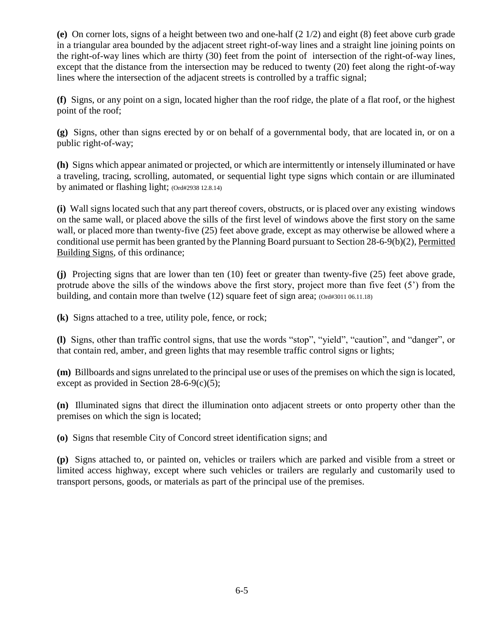**(e)** On corner lots, signs of a height between two and one-half (2 1/2) and eight (8) feet above curb grade in a triangular area bounded by the adjacent street right-of-way lines and a straight line joining points on the right-of-way lines which are thirty (30) feet from the point of intersection of the right-of-way lines, except that the distance from the intersection may be reduced to twenty (20) feet along the right-of-way lines where the intersection of the adjacent streets is controlled by a traffic signal;

**(f)** Signs, or any point on a sign, located higher than the roof ridge, the plate of a flat roof, or the highest point of the roof;

**(g)** Signs, other than signs erected by or on behalf of a governmental body, that are located in, or on a public right-of-way;

**(h)** Signs which appear animated or projected, or which are intermittently or intensely illuminated or have a traveling, tracing, scrolling, automated, or sequential light type signs which contain or are illuminated by animated or flashing light; (Ord#2938 12.8.14)

**(i)** Wall signs located such that any part thereof covers, obstructs, or is placed over any existing windows on the same wall, or placed above the sills of the first level of windows above the first story on the same wall, or placed more than twenty-five (25) feet above grade, except as may otherwise be allowed where a conditional use permit has been granted by the Planning Board pursuant to Section 28-6-9(b)(2), Permitted Building Signs, of this ordinance;

**(j)** Projecting signs that are lower than ten (10) feet or greater than twenty-five (25) feet above grade, protrude above the sills of the windows above the first story, project more than five feet (5') from the building, and contain more than twelve (12) square feet of sign area; (Ord#3011 06.11.18)

**(k)** Signs attached to a tree, utility pole, fence, or rock;

**(l)** Signs, other than traffic control signs, that use the words "stop", "yield", "caution", and "danger", or that contain red, amber, and green lights that may resemble traffic control signs or lights;

**(m)** Billboards and signs unrelated to the principal use or uses of the premises on which the sign is located, except as provided in Section 28-6-9(c)(5);

**(n)** Illuminated signs that direct the illumination onto adjacent streets or onto property other than the premises on which the sign is located;

**(o)** Signs that resemble City of Concord street identification signs; and

**(p)** Signs attached to, or painted on, vehicles or trailers which are parked and visible from a street or limited access highway, except where such vehicles or trailers are regularly and customarily used to transport persons, goods, or materials as part of the principal use of the premises.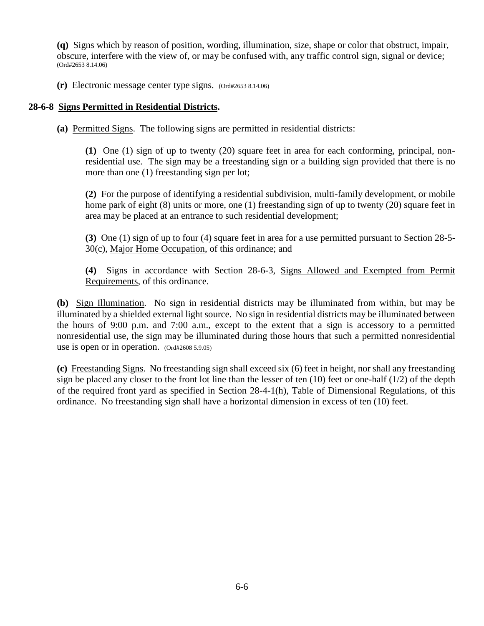**(q)** Signs which by reason of position, wording, illumination, size, shape or color that obstruct, impair, obscure, interfere with the view of, or may be confused with, any traffic control sign, signal or device; (Ord#2653 8.14.06)

**(r)** Electronic message center type signs. (Ord#2653 8.14.06)

#### **28-6-8 Signs Permitted in Residential Districts.**

**(a)** Permitted Signs. The following signs are permitted in residential districts:

**(1)** One (1) sign of up to twenty (20) square feet in area for each conforming, principal, nonresidential use. The sign may be a freestanding sign or a building sign provided that there is no more than one (1) freestanding sign per lot;

**(2)** For the purpose of identifying a residential subdivision, multi-family development, or mobile home park of eight (8) units or more, one (1) freestanding sign of up to twenty (20) square feet in area may be placed at an entrance to such residential development;

**(3)** One (1) sign of up to four (4) square feet in area for a use permitted pursuant to Section 28-5- 30(c), Major Home Occupation, of this ordinance; and

**(4)** Signs in accordance with Section 28-6-3, Signs Allowed and Exempted from Permit Requirements, of this ordinance.

**(b)** Sign Illumination. No sign in residential districts may be illuminated from within, but may be illuminated by a shielded external light source. No sign in residential districts may be illuminated between the hours of 9:00 p.m. and 7:00 a.m., except to the extent that a sign is accessory to a permitted nonresidential use, the sign may be illuminated during those hours that such a permitted nonresidential use is open or in operation. (Ord#2608 5.9.05)

**(c)** Freestanding Signs. No freestanding sign shall exceed six (6) feet in height, nor shall any freestanding sign be placed any closer to the front lot line than the lesser of ten  $(10)$  feet or one-half  $(1/2)$  of the depth of the required front yard as specified in Section 28-4-1(h), Table of Dimensional Regulations, of this ordinance. No freestanding sign shall have a horizontal dimension in excess of ten (10) feet.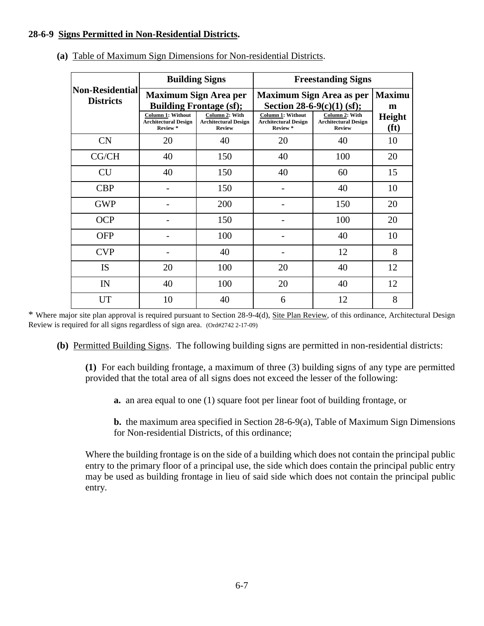## **28-6-9 Signs Permitted in Non-Residential Districts.**

|                                            |                                                                    | <b>Building Signs</b>                                          | <b>Freestanding Signs</b>                                          |                                                                |                                    |  |
|--------------------------------------------|--------------------------------------------------------------------|----------------------------------------------------------------|--------------------------------------------------------------------|----------------------------------------------------------------|------------------------------------|--|
| <b>Non-Residential</b><br><b>Districts</b> |                                                                    | <b>Maximum Sign Area per</b><br><b>Building Frontage (sf);</b> | <b>Maximum Sign Area as per</b><br>Section 28-6-9 $(c)(1)$ (sf);   | <b>Maximu</b><br>m                                             |                                    |  |
|                                            | <b>Column 1: Without</b><br><b>Architectural Design</b><br>Review* | Column 2: With<br><b>Architectural Design</b><br><b>Review</b> | <b>Column 1: Without</b><br><b>Architectural Design</b><br>Review* | Column 2: With<br><b>Architectural Design</b><br><b>Review</b> | <b>Height</b><br>(f <sup>t</sup> ) |  |
| CN                                         | 20                                                                 | 40                                                             | 20                                                                 | 40                                                             | 10                                 |  |
| CG/CH                                      | 40                                                                 | 150                                                            | 40                                                                 | 100                                                            | 20                                 |  |
| <b>CU</b>                                  | 40                                                                 | 150                                                            | 40                                                                 | 60                                                             | 15                                 |  |
| <b>CBP</b>                                 |                                                                    | 150                                                            |                                                                    | 40                                                             | 10                                 |  |
| <b>GWP</b>                                 |                                                                    | 200                                                            |                                                                    | 150                                                            | 20                                 |  |
| <b>OCP</b>                                 |                                                                    | 150                                                            |                                                                    | 100                                                            | 20                                 |  |
| <b>OFP</b>                                 |                                                                    | 100                                                            |                                                                    | 40                                                             | 10                                 |  |
| <b>CVP</b>                                 |                                                                    | 40                                                             |                                                                    | 12                                                             | 8                                  |  |
| <b>IS</b>                                  | 20                                                                 | 100                                                            | 20                                                                 | 40                                                             | 12                                 |  |
| IN                                         | 40                                                                 | 100                                                            | 20                                                                 | 40                                                             | 12                                 |  |
| <b>UT</b>                                  | 10                                                                 | 40                                                             | 6                                                                  | 12                                                             | 8                                  |  |

**(a)** Table of Maximum Sign Dimensions for Non-residential Districts.

\* Where major site plan approval is required pursuant to Section 28-9-4(d), Site Plan Review, of this ordinance, Architectural Design Review is required for all signs regardless of sign area. (Ord#2742 2-17-09)

**(b)** Permitted Building Signs. The following building signs are permitted in non-residential districts:

**(1)** For each building frontage, a maximum of three (3) building signs of any type are permitted provided that the total area of all signs does not exceed the lesser of the following:

**a.** an area equal to one (1) square foot per linear foot of building frontage, or

**b.** the maximum area specified in Section 28-6-9(a), Table of Maximum Sign Dimensions for Non-residential Districts, of this ordinance;

Where the building frontage is on the side of a building which does not contain the principal public entry to the primary floor of a principal use, the side which does contain the principal public entry may be used as building frontage in lieu of said side which does not contain the principal public entry.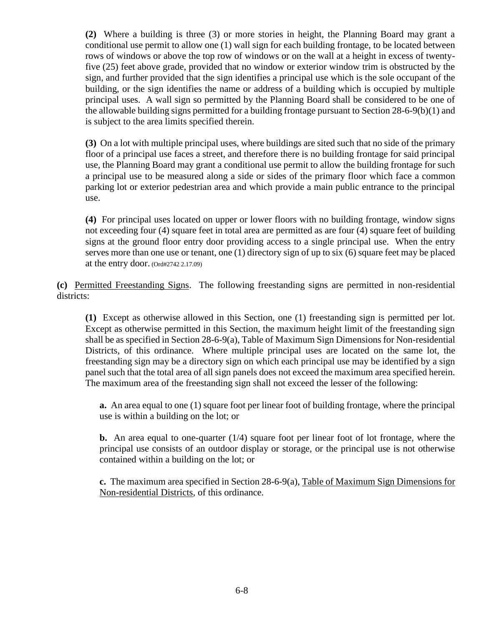**(2)** Where a building is three (3) or more stories in height, the Planning Board may grant a conditional use permit to allow one (1) wall sign for each building frontage, to be located between rows of windows or above the top row of windows or on the wall at a height in excess of twentyfive (25) feet above grade, provided that no window or exterior window trim is obstructed by the sign, and further provided that the sign identifies a principal use which is the sole occupant of the building, or the sign identifies the name or address of a building which is occupied by multiple principal uses. A wall sign so permitted by the Planning Board shall be considered to be one of the allowable building signs permitted for a building frontage pursuant to Section 28-6-9(b)(1) and is subject to the area limits specified therein.

**(3)** On a lot with multiple principal uses, where buildings are sited such that no side of the primary floor of a principal use faces a street, and therefore there is no building frontage for said principal use, the Planning Board may grant a conditional use permit to allow the building frontage for such a principal use to be measured along a side or sides of the primary floor which face a common parking lot or exterior pedestrian area and which provide a main public entrance to the principal use.

**(4)** For principal uses located on upper or lower floors with no building frontage, window signs not exceeding four (4) square feet in total area are permitted as are four (4) square feet of building signs at the ground floor entry door providing access to a single principal use. When the entry serves more than one use or tenant, one (1) directory sign of up to six (6) square feet may be placed at the entry door. (Ord#2742 2.17.09)

**(c)** Permitted Freestanding Signs. The following freestanding signs are permitted in non-residential districts:

**(1)** Except as otherwise allowed in this Section, one (1) freestanding sign is permitted per lot. Except as otherwise permitted in this Section, the maximum height limit of the freestanding sign shall be as specified in Section 28-6-9(a), Table of Maximum Sign Dimensions for Non-residential Districts, of this ordinance. Where multiple principal uses are located on the same lot, the freestanding sign may be a directory sign on which each principal use may be identified by a sign panel such that the total area of all sign panels does not exceed the maximum area specified herein. The maximum area of the freestanding sign shall not exceed the lesser of the following:

**a.** An area equal to one (1) square foot per linear foot of building frontage, where the principal use is within a building on the lot; or

**b.** An area equal to one-quarter (1/4) square foot per linear foot of lot frontage, where the principal use consists of an outdoor display or storage, or the principal use is not otherwise contained within a building on the lot; or

**c.** The maximum area specified in Section 28-6-9(a), Table of Maximum Sign Dimensions for Non-residential Districts, of this ordinance.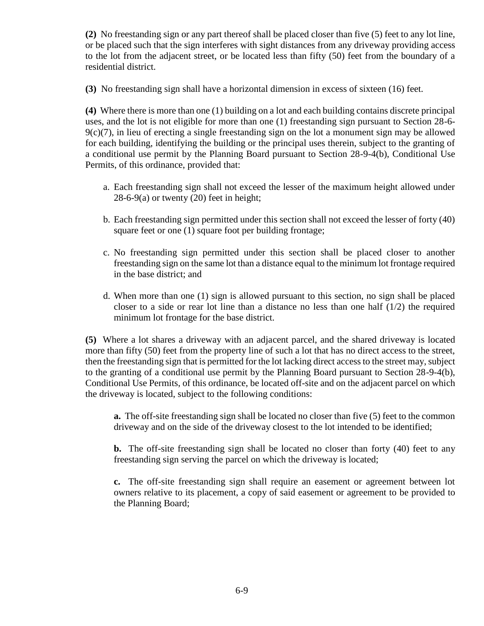**(2)** No freestanding sign or any part thereof shall be placed closer than five (5) feet to any lot line, or be placed such that the sign interferes with sight distances from any driveway providing access to the lot from the adjacent street, or be located less than fifty (50) feet from the boundary of a residential district.

**(3)** No freestanding sign shall have a horizontal dimension in excess of sixteen (16) feet.

**(4)** Where there is more than one (1) building on a lot and each building contains discrete principal uses, and the lot is not eligible for more than one (1) freestanding sign pursuant to Section 28-6- 9(c)(7), in lieu of erecting a single freestanding sign on the lot a monument sign may be allowed for each building, identifying the building or the principal uses therein, subject to the granting of a conditional use permit by the Planning Board pursuant to Section 28-9-4(b), Conditional Use Permits, of this ordinance, provided that:

- a. Each freestanding sign shall not exceed the lesser of the maximum height allowed under  $28-6-9(a)$  or twenty  $(20)$  feet in height;
- b. Each freestanding sign permitted under this section shall not exceed the lesser of forty (40) square feet or one (1) square foot per building frontage;
- c. No freestanding sign permitted under this section shall be placed closer to another freestanding sign on the same lot than a distance equal to the minimum lot frontage required in the base district; and
- d. When more than one (1) sign is allowed pursuant to this section, no sign shall be placed closer to a side or rear lot line than a distance no less than one half  $(1/2)$  the required minimum lot frontage for the base district.

**(5)** Where a lot shares a driveway with an adjacent parcel, and the shared driveway is located more than fifty (50) feet from the property line of such a lot that has no direct access to the street, then the freestanding sign that is permitted for the lot lacking direct access to the street may, subject to the granting of a conditional use permit by the Planning Board pursuant to Section 28-9-4(b), Conditional Use Permits, of this ordinance, be located off-site and on the adjacent parcel on which the driveway is located, subject to the following conditions:

**a.** The off-site freestanding sign shall be located no closer than five (5) feet to the common driveway and on the side of the driveway closest to the lot intended to be identified;

**b.** The off-site freestanding sign shall be located no closer than forty (40) feet to any freestanding sign serving the parcel on which the driveway is located;

**c.** The off-site freestanding sign shall require an easement or agreement between lot owners relative to its placement, a copy of said easement or agreement to be provided to the Planning Board;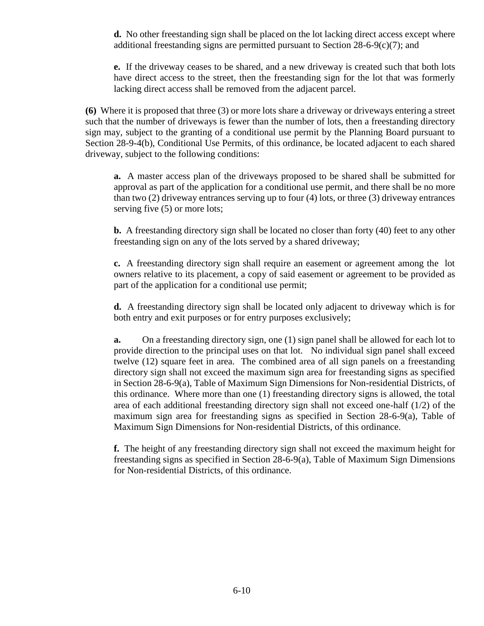**d.** No other freestanding sign shall be placed on the lot lacking direct access except where additional freestanding signs are permitted pursuant to Section 28-6-9(c)(7); and

**e.** If the driveway ceases to be shared, and a new driveway is created such that both lots have direct access to the street, then the freestanding sign for the lot that was formerly lacking direct access shall be removed from the adjacent parcel.

**(6)** Where it is proposed that three (3) or more lots share a driveway or driveways entering a street such that the number of driveways is fewer than the number of lots, then a freestanding directory sign may, subject to the granting of a conditional use permit by the Planning Board pursuant to Section 28-9-4(b), Conditional Use Permits, of this ordinance, be located adjacent to each shared driveway, subject to the following conditions:

**a.** A master access plan of the driveways proposed to be shared shall be submitted for approval as part of the application for a conditional use permit, and there shall be no more than two (2) driveway entrances serving up to four (4) lots, or three (3) driveway entrances serving five  $(5)$  or more lots;

**b.** A freestanding directory sign shall be located no closer than forty (40) feet to any other freestanding sign on any of the lots served by a shared driveway;

**c.** A freestanding directory sign shall require an easement or agreement among the lot owners relative to its placement, a copy of said easement or agreement to be provided as part of the application for a conditional use permit;

**d.** A freestanding directory sign shall be located only adjacent to driveway which is for both entry and exit purposes or for entry purposes exclusively;

**a.** On a freestanding directory sign, one (1) sign panel shall be allowed for each lot to provide direction to the principal uses on that lot. No individual sign panel shall exceed twelve (12) square feet in area. The combined area of all sign panels on a freestanding directory sign shall not exceed the maximum sign area for freestanding signs as specified in Section 28-6-9(a), Table of Maximum Sign Dimensions for Non-residential Districts, of this ordinance. Where more than one (1) freestanding directory signs is allowed, the total area of each additional freestanding directory sign shall not exceed one-half (1/2) of the maximum sign area for freestanding signs as specified in Section 28-6-9(a), Table of Maximum Sign Dimensions for Non-residential Districts, of this ordinance.

**f.** The height of any freestanding directory sign shall not exceed the maximum height for freestanding signs as specified in Section 28-6-9(a), Table of Maximum Sign Dimensions for Non-residential Districts, of this ordinance.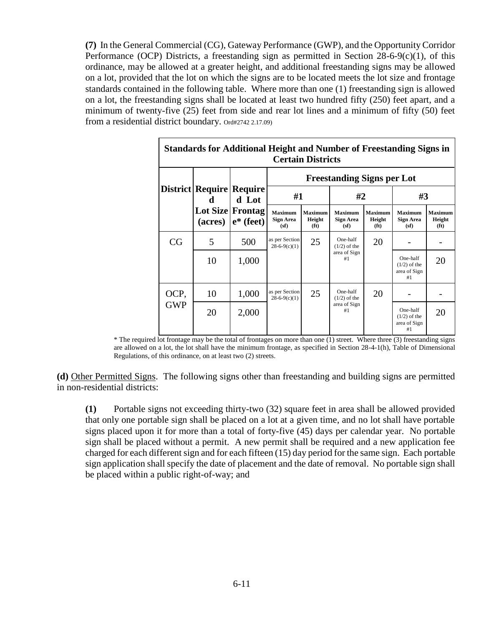**(7)** In the General Commercial (CG), Gateway Performance (GWP), and the Opportunity Corridor Performance (OCP) Districts, a freestanding sign as permitted in Section 28-6-9(c)(1), of this ordinance, may be allowed at a greater height, and additional freestanding signs may be allowed on a lot, provided that the lot on which the signs are to be located meets the lot size and frontage standards contained in the following table. Where more than one (1) freestanding sign is allowed on a lot, the freestanding signs shall be located at least two hundred fifty (250) feet apart, and a minimum of twenty-five (25) feet from side and rear lot lines and a minimum of fifty (50) feet from a residential district boundary. Ord#2742 2.17.09)

| <b>Standards for Additional Height and Number of Freestanding Signs in</b><br><b>Certain Districts</b> |                                          |                                                  |                                            |                                               |                                                  |                                        |                                                  |                                               |  |  |  |
|--------------------------------------------------------------------------------------------------------|------------------------------------------|--------------------------------------------------|--------------------------------------------|-----------------------------------------------|--------------------------------------------------|----------------------------------------|--------------------------------------------------|-----------------------------------------------|--|--|--|
|                                                                                                        | District Require Require<br>d<br>(acres) | d Lot<br><b>Lot Size Frontag</b><br>$e^*$ (feet) | <b>Freestanding Signs per Lot</b>          |                                               |                                                  |                                        |                                                  |                                               |  |  |  |
|                                                                                                        |                                          |                                                  | #1                                         |                                               | #2                                               |                                        | #3                                               |                                               |  |  |  |
|                                                                                                        |                                          |                                                  | <b>Maximum</b><br><b>Sign Area</b><br>(sf) | <b>Maximum</b><br>Height<br>(f <sub>t</sub> ) | <b>Maximum</b><br><b>Sign Area</b><br>(sf)       | Maximum<br>Height<br>(f <sub>t</sub> ) | <b>Maximum</b><br><b>Sign Area</b><br>(sf)       | <b>Maximum</b><br>Height<br>(f <sub>t</sub> ) |  |  |  |
| CG                                                                                                     | 5                                        | 500                                              | as per Section<br>$28-6-9(c)(1)$           | 25                                            | One-half<br>$(1/2)$ of the<br>area of Sign<br>#1 | 20                                     |                                                  |                                               |  |  |  |
|                                                                                                        | 10                                       | 1,000                                            |                                            |                                               |                                                  |                                        | One-half<br>$(1/2)$ of the<br>area of Sign<br>#1 | 20                                            |  |  |  |
| OCP,<br><b>GWP</b>                                                                                     | 10                                       | 1,000                                            | as per Section<br>$28-6-9(c)(1)$           | 25                                            | One-half<br>$(1/2)$ of the<br>area of Sign<br>#1 | 20                                     |                                                  |                                               |  |  |  |
|                                                                                                        | 20                                       | 2,000                                            |                                            |                                               |                                                  |                                        | One-half<br>$(1/2)$ of the<br>area of Sign<br>#1 | 20                                            |  |  |  |

\* The required lot frontage may be the total of frontages on more than one (1) street. Where three (3) freestanding signs are allowed on a lot, the lot shall have the minimum frontage, as specified in Section 28-4-1(h), Table of Dimensional Regulations, of this ordinance, on at least two (2) streets.

**(d)** Other Permitted Signs. The following signs other than freestanding and building signs are permitted in non-residential districts:

**(1)** Portable signs not exceeding thirty-two (32) square feet in area shall be allowed provided that only one portable sign shall be placed on a lot at a given time, and no lot shall have portable signs placed upon it for more than a total of forty-five (45) days per calendar year. No portable sign shall be placed without a permit. A new permit shall be required and a new application fee charged for each different sign and for each fifteen (15) day period for the same sign. Each portable sign application shall specify the date of placement and the date of removal. No portable sign shall be placed within a public right-of-way; and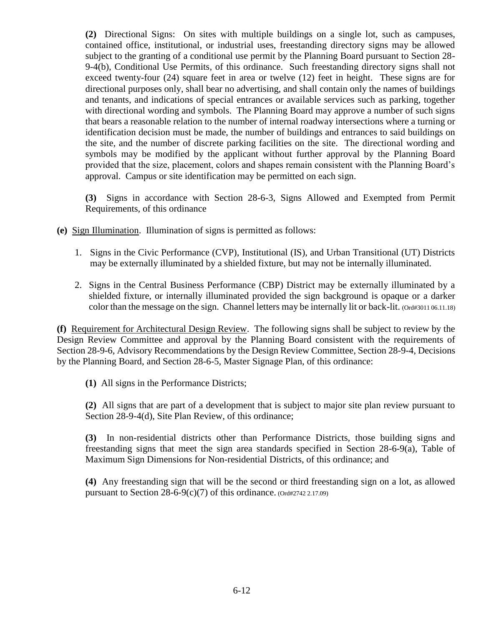**(2)** Directional Signs: On sites with multiple buildings on a single lot, such as campuses, contained office, institutional, or industrial uses, freestanding directory signs may be allowed subject to the granting of a conditional use permit by the Planning Board pursuant to Section 28- 9-4(b), Conditional Use Permits, of this ordinance. Such freestanding directory signs shall not exceed twenty-four (24) square feet in area or twelve (12) feet in height. These signs are for directional purposes only, shall bear no advertising, and shall contain only the names of buildings and tenants, and indications of special entrances or available services such as parking, together with directional wording and symbols. The Planning Board may approve a number of such signs that bears a reasonable relation to the number of internal roadway intersections where a turning or identification decision must be made, the number of buildings and entrances to said buildings on the site, and the number of discrete parking facilities on the site. The directional wording and symbols may be modified by the applicant without further approval by the Planning Board provided that the size, placement, colors and shapes remain consistent with the Planning Board's approval. Campus or site identification may be permitted on each sign.

**(3)** Signs in accordance with Section 28-6-3, Signs Allowed and Exempted from Permit Requirements, of this ordinance

**(e)** Sign Illumination. Illumination of signs is permitted as follows:

- 1. Signs in the Civic Performance (CVP), Institutional (IS), and Urban Transitional (UT) Districts may be externally illuminated by a shielded fixture, but may not be internally illuminated.
- 2. Signs in the Central Business Performance (CBP) District may be externally illuminated by a shielded fixture, or internally illuminated provided the sign background is opaque or a darker color than the message on the sign. Channel letters may be internally lit or back-lit. (Ord#3011 06.11.18)

**(f)** Requirement for Architectural Design Review. The following signs shall be subject to review by the Design Review Committee and approval by the Planning Board consistent with the requirements of Section 28-9-6, Advisory Recommendations by the Design Review Committee, Section 28-9-4, Decisions by the Planning Board, and Section 28-6-5, Master Signage Plan, of this ordinance:

**(1)** All signs in the Performance Districts;

**(2)** All signs that are part of a development that is subject to major site plan review pursuant to Section 28-9-4(d), Site Plan Review, of this ordinance;

**(3)** In non-residential districts other than Performance Districts, those building signs and freestanding signs that meet the sign area standards specified in Section 28-6-9(a), Table of Maximum Sign Dimensions for Non-residential Districts, of this ordinance; and

**(4)** Any freestanding sign that will be the second or third freestanding sign on a lot, as allowed pursuant to Section  $28-6-9(c)(7)$  of this ordinance. (Ord#2742 2.17.09)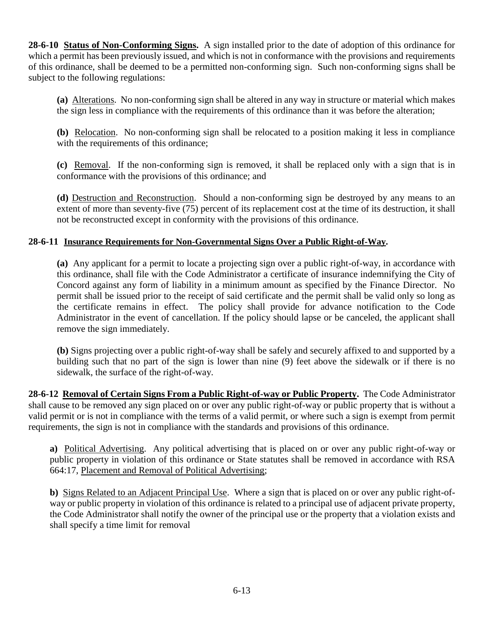**28-6-10 Status of Non-Conforming Signs.** A sign installed prior to the date of adoption of this ordinance for which a permit has been previously issued, and which is not in conformance with the provisions and requirements of this ordinance, shall be deemed to be a permitted non-conforming sign. Such non-conforming signs shall be subject to the following regulations:

**(a)** Alterations. No non-conforming sign shall be altered in any way in structure or material which makes the sign less in compliance with the requirements of this ordinance than it was before the alteration;

**(b)** Relocation. No non-conforming sign shall be relocated to a position making it less in compliance with the requirements of this ordinance;

**(c)** Removal. If the non-conforming sign is removed, it shall be replaced only with a sign that is in conformance with the provisions of this ordinance; and

**(d)** Destruction and Reconstruction. Should a non-conforming sign be destroyed by any means to an extent of more than seventy-five (75) percent of its replacement cost at the time of its destruction, it shall not be reconstructed except in conformity with the provisions of this ordinance.

# **28-6-11 Insurance Requirements for Non-Governmental Signs Over a Public Right-of-Way.**

**(a)** Any applicant for a permit to locate a projecting sign over a public right-of-way, in accordance with this ordinance, shall file with the Code Administrator a certificate of insurance indemnifying the City of Concord against any form of liability in a minimum amount as specified by the Finance Director. No permit shall be issued prior to the receipt of said certificate and the permit shall be valid only so long as the certificate remains in effect. The policy shall provide for advance notification to the Code Administrator in the event of cancellation. If the policy should lapse or be canceled, the applicant shall remove the sign immediately.

**(b)** Signs projecting over a public right-of-way shall be safely and securely affixed to and supported by a building such that no part of the sign is lower than nine (9) feet above the sidewalk or if there is no sidewalk, the surface of the right-of-way.

**28-6-12 Removal of Certain Signs From a Public Right-of-way or Public Property.** The Code Administrator shall cause to be removed any sign placed on or over any public right-of-way or public property that is without a valid permit or is not in compliance with the terms of a valid permit, or where such a sign is exempt from permit requirements, the sign is not in compliance with the standards and provisions of this ordinance.

**a)** Political Advertising. Any political advertising that is placed on or over any public right-of-way or public property in violation of this ordinance or State statutes shall be removed in accordance with RSA 664:17, Placement and Removal of Political Advertising;

**b)** Signs Related to an Adjacent Principal Use. Where a sign that is placed on or over any public right-ofway or public property in violation of this ordinance is related to a principal use of adjacent private property, the Code Administrator shall notify the owner of the principal use or the property that a violation exists and shall specify a time limit for removal